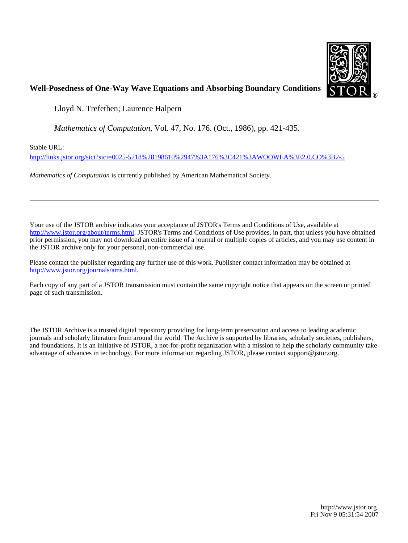

### **Well-Posedness of One-Way Wave Equations and Absorbing Boundary Conditions**

Lloyd N. Trefethen; Laurence Halpern

*Mathematics of Computation*, Vol. 47, No. 176. (Oct., 1986), pp. 421-435.

Stable URL:

<http://links.jstor.org/sici?sici=0025-5718%28198610%2947%3A176%3C421%3AWOOWEA%3E2.0.CO%3B2-5>

*Mathematics of Computation* is currently published by American Mathematical Society.

Your use of the JSTOR archive indicates your acceptance of JSTOR's Terms and Conditions of Use, available at [http://www.jstor.org/about/terms.html.](http://www.jstor.org/about/terms.html) JSTOR's Terms and Conditions of Use provides, in part, that unless you have obtained prior permission, you may not download an entire issue of a journal or multiple copies of articles, and you may use content in the JSTOR archive only for your personal, non-commercial use.

Please contact the publisher regarding any further use of this work. Publisher contact information may be obtained at [http://www.jstor.org/journals/ams.html.](http://www.jstor.org/journals/ams.html)

Each copy of any part of a JSTOR transmission must contain the same copyright notice that appears on the screen or printed page of such transmission.

The JSTOR Archive is a trusted digital repository providing for long-term preservation and access to leading academic journals and scholarly literature from around the world. The Archive is supported by libraries, scholarly societies, publishers, and foundations. It is an initiative of JSTOR, a not-for-profit organization with a mission to help the scholarly community take advantage of advances in technology. For more information regarding JSTOR, please contact support@jstor.org.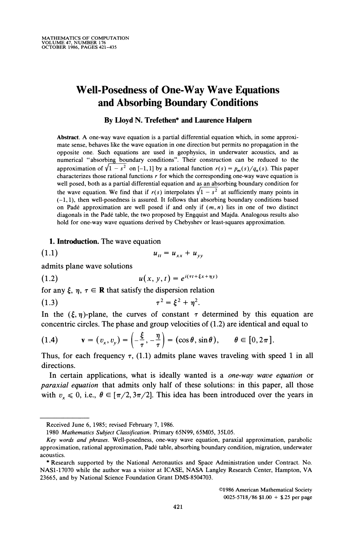# **Well-Posedness of One-Way Wave Equations and Absorbing Boundary Conditions**

#### **By Lloyd N. Trefethen\* and Laurence Halpern**

Abstract. A one-way wave equation is a partial differential equation which, in some approximate sense, behaves like the wave equation in one direction but permits no propagation in the opposite one. Such equations are used in geophysics, in underwater acoustics, and as numerical "absorbing boundary conditions". Their construction can be reduced to the approximation of  $\sqrt{1-s^2}$  on [-1, 1] by a rational function  $r(s) = p_m(s)/q_n(s)$ . This paper characterizes those rational functions  $r$  for which the corresponding one-way wave equation is well posed, both as a partial differential equation and as an absorbing boundary condition for the wave equation. We find that if  $r(s)$  interpolates  $\sqrt{1-s^2}$  at sufficiently many points in (-1, I), then well-posedness is assured. It follows that absorbing boundary conditions based on Padé approximation are well posed if and only if  $(m, n)$  lies in one of two distinct diagonals in the Pade table, the two proposed by Engquist and Majda. Analogous results also hold for one-way wave equations derived by Chebyshev or least-squares approximation.

#### **1. Introduction.**The wave equation

$$
(1.1) \t\t u_{tt} = u_{xx} + u_{yy}
$$

admits plane wave solutions

(1.2) 
$$
u(x, y, t) = e^{i(\tau t + \xi x + \eta y)}
$$

for any  $\xi$ ,  $\eta$ ,  $\tau \in \mathbb{R}$  that satisfy the dispersion relation

(1.3) 
$$
\tau^2 = \xi^2 + \eta^2.
$$

In the  $(\xi, \eta)$ -plane, the curves of constant  $\tau$  determined by this equation are concentric circles. The phase and group velocities of (1.2) are identical and equal to

(1.4) 
$$
\mathbf{v} = (v_x, v_y) = \left(-\frac{\xi}{\tau}, -\frac{\eta}{\tau}\right) = (\cos \theta, \sin \theta), \quad \theta \in [0, 2\pi].
$$

Thus, for each frequency  $\tau$ , (1.1) admits plane waves traveling with speed 1 in all directions.

In certain applications, what is ideally wanted is a *one-way wave equation* or paraxial equation that admits only half of these solutions: in this paper, all those with  $v_x \le 0$ , i.e.,  $\theta \in [\pi/2, 3\pi/2]$ . This idea has been introduced over the years in

Received June 6, 1985; revised February 7, 1986.

<sup>1980</sup> Mathematics Subject Classification. Primary 65N99, 65M05, 35L05.

*Key* words and phrases. Well-posedness, one-way wave equation, paraxial approximation, parabolic approximation, rational approximation, Pade table, absorbing boundary condition, migration, underwater acoustics.

<sup>\*</sup> Research supported by the National Aeronautics and Space Administration under Contract. No. NAS1-17070 while the author was a visitor at ICASE, NASA Langley Research Center, Hampton, VA 23665, and by National Science Foundation Grant DMS-8504703.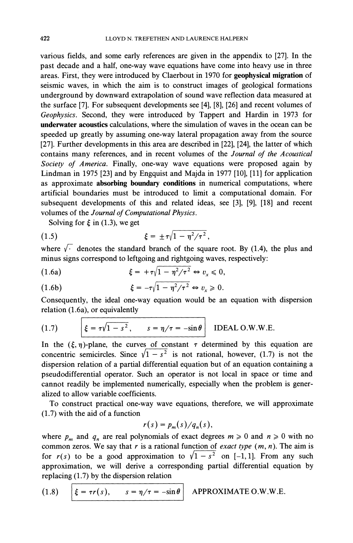various fields, and some early references are given in the appendix to *[27].*In the past decade and a half, one-way wave equations have come into heavy use in three areas. First, they were introduced by Claerbout in *1970* for **geophysical migration** of seismic waves, in which the aim is to construct images of geological formations underground by downward extrapolation of sound wave reflection data measured at the surface *[7].*For subsequent developments see *[4], 181, [26]* and recent volumes of *Geophysics.* Second, they were introduced by Tappert and Hardin in *1973* for **underwater acoustics** calculations, where the simulation of waves in the ocean can be speeded up greatly by assuming one-way lateral propagation away from the source *[27].*Further developments in this area are described in *1221, [24],* the latter of which contains many references, and in recent volumes of the *Journal of the Acoustical Society of America.* Finally, one-way wave equations were proposed again by Lindman in *1975 [23]* and by Engquist and Majda in *1977 [lo], [ll]*for application as approximate **absorbing boundary conditions** in numerical computations, where artificial boundaries must be introduced to limit a computational domain. For subsequent developments of this and related ideas, see *[3], 191, 1181* and recent volumes of the *Journal of Computational Physics.* 

Solving for  $\xi$  in (1.3), we get

(1.5) 
$$
\xi = \pm \tau \sqrt{1 - \eta^2/\tau^2} \,,
$$

where  $\sqrt{\cdot}$  denotes the standard branch of the square root. By (1.4), the plus and minus signs correspond to leftgoing and rightgoing waves, respectively:

(1.6a) 
$$
\xi = +\tau \sqrt{1 - \eta^2/\tau^2} \Leftrightarrow v_x \leq 0,
$$

(1.6b) 
$$
\xi = -\tau \sqrt{1 - \eta^2/\tau^2} \Leftrightarrow v_x \geqslant 0.
$$

Consequently, the ideal one-way equation would be an equation with dispersion relation *(1.6a),*or equivalently

(1.7) 
$$
\xi = \tau \sqrt{1 - s^2}, \qquad s = \eta/\tau = -\sin \theta
$$
 IDEAL O.W.W.E.

In the  $(\xi, \eta)$ -plane, the curves of constant  $\tau$  determined by this equation are concentric semicircles. Since  $\sqrt{1-s^2}$  is not rational, however, (1.7) is not the dispersion relation of a partial differential equation but of an equation containing a pseudodifferential operator. Such an operator is not local in space or time and cannot readily be implemented numerically, especially when the problem is generalized to allow variable coefficients.

To construct practical one-way wave equations, therefore, we will approximate *(1.7)*with the aid of a function

$$
r(s) = p_m(s)/q_n(s),
$$

where  $p_m$  and  $q_n$  are real polynomials of exact degrees  $m \ge 0$  and  $n \ge 0$  with no common zeros. We say that *r* is a rational function of *exact type (m, n).* The aim is for  $r(s)$  to be a good approximation to  $\sqrt{1-s^2}$  on [-1, 1]. From any such approximation, we will derive a corresponding partial differential equation by replacing *(1.7)* by the dispersion relation

(1.8) 
$$
\xi = \tau r(s), \qquad s = \eta/\tau = -\sin \theta \quad \text{APPROXIMATE O.W.W.E.}
$$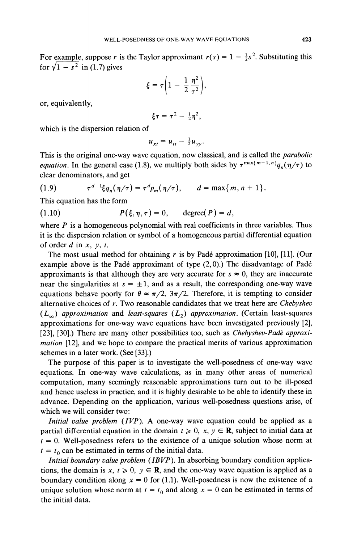For example, suppose *r* is the Taylor approximant  $r(s) = 1 - \frac{1}{2}s^2$ . Substituting this for  $\sqrt{1 - s^2}$  in (1.7) gives

$$
\xi=\tau\bigg(1-\frac{1}{2}\,\frac{\eta^2}{\tau^2}\bigg),
$$

or, equivalently,

$$
\xi\tau=\tau^2-\tfrac{1}{2}\eta^2,
$$

which is the dispersion relation of

$$
u_{xt} = u_{tt} - \frac{1}{2}u_{yy}.
$$

This is the original one-way wave equation, now classical, and is called the *parabolic equation*. In the general case (1.8), we multiply both sides by  $\tau^{\max\{m-1,n\}} q_n(\eta/\tau)$  to clear denominators, and get

(1.9) 
$$
\tau^{d-1} \xi q_n(\eta/\tau) = \tau^d p_m(\eta/\tau), \qquad d = \max\{m, n+1\}.
$$

This equation has the form

(1.10)  $P(\xi, \eta, \tau) = 0$ , degree(P) = d,

where  $P$  is a homogeneous polynomial with real coefficients in three variables. Thus it is the dispersion relation or symbol of a homogeneous partial differential equation of order  $d$  in  $x$ ,  $y$ ,  $t$ .

The most usual method for obtaining r is by Padé approximation [10], [11]. (Our example above is the Padé approximant of type  $(2,0)$ .) The disadvantage of Padé approximants is that although they are very accurate for  $s \approx 0$ , they are inaccurate near the singularities at  $s = \pm 1$ , and as a result, the corresponding one-way wave equations behave poorly for  $\theta \approx \pi/2$ ,  $3\pi/2$ . Therefore, it is tempting to consider alternative choices of r. Two reasonable candidates that we treat here are Chebyshev  $(L_{\infty})$  approximation and least-squares  $(L_{2})$  approximation. (Certain least-squares approximations for one-way wave equations have been investigated previously [2], [23], [30].) There are many other possibilities too, such as Chebyshev-Padé approximation [12], and we hope to compare the practical merits of various approximation schemes in a later work. (See [33].)

The purpose of this paper is to investigate the well-posedness of one-way wave equations. In one-way wave calculations, as in many other areas of numerical computation, many seemingly reasonable approximations turn out to be ill-posed and hence useless in practice, and it is highly desirable to be able to identify these in advance. Depending on the application, various well-posedness questions arise, of which we will consider two:

Initial value problem (IVP). A one-way wave equation could be applied as a partial differential equation in the domain  $t \ge 0$ ,  $x, y \in \mathbb{R}$ , subject to initial data at  $t = 0$ . Well-posedness refers to the existence of a unique solution whose norm at  $t = t_0$  can be estimated in terms of the initial data.

Initial boundary value problem (IBVP). In absorbing boundary condition applications, the domain is x,  $t \ge 0$ ,  $y \in \mathbb{R}$ , and the one-way wave equation is applied as a boundary condition along  $x = 0$  for (1.1). Well-posedness is now the existence of a unique solution whose norm at  $t = t_0$  and along  $x = 0$  can be estimated in terms of the initial data.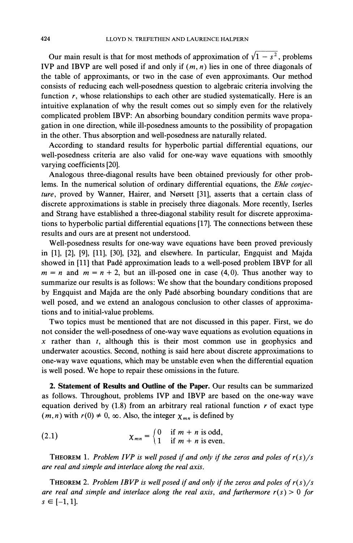Our main result is that for most methods of approximation of  $\sqrt{1 - s^2}$ , problems IVP and IBVP are well posed if and only if *(m, n)* lies in one of three diagonals of the table of approximants, or two in the case of even approximants. Our method consists of reducing each well-posedness question to algebraic criteria involving the function *r*, whose relationships to each other are studied systematically. Here is an intuitive explanation of why the result comes out so simply even for the relatively complicated problem IBVP: An absorbing boundary condition permits wave propagation in one direction, while ill-posedness amounts to the possibility of propagation in the other. Thus absorption and well-posedness are naturally related.

According to standard results for hyperbolic partial differential equations, our well-posedness criteria are also valid for one-way wave equations with smoothly varying coefficients [20].

Analogous three-diagonal results have been obtained previously for other problems. In the numerical solution of ordinary differential equations, the *Ehle conjec*ture, proved by Wanner, Hairer, and Nørsett [31], asserts that a certain class of discrete approximations is stable in precisely three diagonals. More recently, Iserles and Strang have established a three-diagonal stability result for discrete approximations to hyperbolic partial differential equations [17]. The connections between these results and ours are at present not understood.

Well-posedness results for one-way wave equations have been proved previously in [I], [2], [9], [ll], [30], [32], and elsewhere. In particular, Engquist and Majda showed in [11] that Padé approximation leads to a well-posed problem IBVP for all  $m = n$  and  $m = n + 2$ , but an ill-posed one in case (4,0). Thus another way to summarize our results is as follows: We show that the boundary conditions proposed by Engquist and Majda are the only Pade absorbing boundary conditions that are well posed, and we extend an analogous conclusion to other classes of approximations and to initial-value problems.

Two topics must be mentioned that are not discussed in this paper. First, we do not consider the well-posedness of one-way wave equations as evolution equations in *x* rather than *t,* although this is their most common use in geophysics and underwater acoustics. Second, nothing is said here about discrete approximations to one-way wave equations, which may be unstable even when the differential equation is well posed. We hope to repair these omissions in the future.

**2. Statement of Results and Outline of the Paper.** Our results can be summarized as follows. Throughout, problems IVP and IBVP are based on the one-way wave equation derived by (1.8) from an arbitrary real rational function *r* of exact type  $(m, n)$  with  $r(0) \neq 0$ ,  $\infty$ . Also, the integer  $\chi_{mn}$  is defined by

(2.1) 
$$
\chi_{mn} = \begin{cases} 0 & \text{if } m+n \text{ is odd,} \\ 1 & \text{if } m+n \text{ is even.} \end{cases}
$$

**THEOREM 1. Problem IVP is well posed if and only if the zeros and poles of**  $r(s)/s$ *are real and simple and interlace along the real axis.* 

**THEOREM 2. Problem IBVP is well posed if and only if the zeros and poles of**  $r(s)/s$ are real and simple and interlace along the real axis, and furthermore  $r(s) > 0$  for  $s \in [-1, 1].$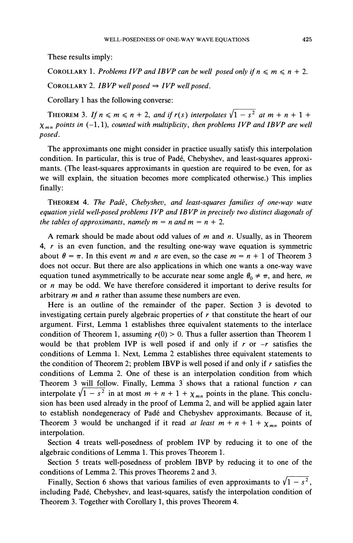These results imply:

COROLLARY 1. *Problems IVP and IBVP can be well posed only if*  $n \le m \le n + 2$ .

COROLLARY 2. *IBVP* well posed  $\Rightarrow$  *IVP* well posed.

Corollary 1 has the following converse:

THEOREM 3. If  $n \le m \le n + 2$ , and if  $r(s)$  interpolates  $\sqrt{1 - s^2}$  at  $m + n + 1 +$  $\chi_{mn}$  points in (-1, 1), *counted with multiplicity*, *then problems IVP and IBVP are well posed.* 

The approximants one might consider in practice usually satisfy this interpolation condition. In particular, this is true of Padé, Chebyshev, and least-squares approximants. (The least-squares approximants in question are required to be even, for as we will explain, the situation becomes more complicated otherwise.) This implies finally:

THEOREM4. *The Padk, Chebyshev, and least-squares families of one-way wave*  equation yield well-posed problems IVP and IBVP in precisely two distinct diagonals of *the tables of approximants, namely*  $m = n$  *and*  $m = n + 2$ *.* 

A remark should be made about odd values of *m* and *n.* Usually, as in Theorem 4, *r* is an even function, and the resulting one-way wave equation is symmetric about  $\theta = \pi$ . In this event *m* and *n* are even, so the case  $m = n + 1$  of Theorem 3 does not occur. But there are also applications in which one wants a one-way wave equation tuned asymmetrically to be accurate near some angle  $\theta_0 \neq \pi$ , and here, *m* or *n* may be odd. We have therefore considered it important to derive results for arbitrary m and *n* rather than assume these numbers are even.

Here is an outline of the remainder of the paper. Section 3 is devoted to investigating certain purely algebraic properties of *r* that constitute the heart of our argument. First, Lemma 1 establishes three equivalent statements to the interlace condition of Theorem 1, assuming  $r(0) > 0$ . Thus a fuller assertion than Theorem 1 would be that problem IVP is well posed if and only if *r* or *-r* satisfies the conditions of Lemma 1. Next, Lemma 2 establishes three equivalent statements to the condition of Theorem 2; problem IBVP is well posed if and only if *r* satisfies the conditions of Lemma 2. One of these is an interpolation condition from which Theorem **3** will follow. Finally, Lemma 3' shows that a rational function *r* can interpolate  $\sqrt{1-s^2}$  in at most  $m + n + 1 + \chi_{mn}$  points in the plane. This conclusion has been used already in the proof of Lemma 2, and will be applied again later to establish nondegeneracy of Pade and Chebyshev approximants. Because of it, Theorem 3 would be unchanged if it read *at least*  $m + n + 1 + \chi_{mn}$  points of interpolation.

Section 4 treats well-posedness of problem IVP by reducing it to one of the algebraic conditions of Lemma 1.This proves Theorem 1.

Section 5 treats well-posedness of problem IBVP by reducing it to one of the conditions of Lemma 2. This proves Theorems 2 and 3.

Finally, Section 6 shows that various families of even approximants to  $\sqrt{1-s^2}$ , including Pade, Chebyshev, and least-squares, satisfy the interpolation condition of Theorem 3. Together with Corollary 1, this proves Theorem 4.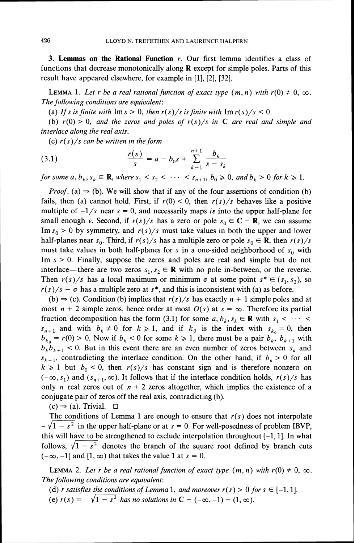**3. Lemmas on the Rational Function** r. Our first lemma identifies a class of functions that decrease monotonically along **R** except for simple poles. Parts of this result have appeared elsewhere, for example in [I], [2], [32].

**LEMMA** 1. Let r be a real rational function of exact type  $(m, n)$  with  $r(0) \neq 0$ ,  $\infty$ . The following conditions are equivalent:

(a) If s is finite with  $\text{Im } s > 0$ , then  $r(s)/s$  is finite with  $\text{Im } r(s)/s < 0$ .

(b)  $r(0) > 0$ , and the zeros and poles of  $r(s)/s$  in **C** are real and simple and interlace along the real axis.

(c)  $r(s)/s$  can be written in the form

(3.1) 
$$
\frac{r(s)}{s} = a - b_0 s + \sum_{k=1}^{n+1} \frac{b_k}{s - s_k}
$$

for some a,  $b_k$ ,  $s_k \in \mathbf{R}$ , where  $s_1 < s_2 < \cdots < s_{n+1}$ ,  $b_0 \ge 0$ , and  $b_k > 0$  for  $k \ge 1$ .

*Proof.* (a)  $\Rightarrow$  (b). We will show that if any of the four assertions of condition (b) fails, then (a) cannot hold. First, if  $r(0) < 0$ , then  $r(s)/s$  behaves like a positive multiple of  $-1/s$  near  $s = 0$ , and necessarily maps is into the upper half-plane for small enough  $\varepsilon$ . Second, if  $r(s)/s$  has a zero or pole  $s_0 \in \mathbb{C} - \mathbb{R}$ , we can assume Im  $s_0 > 0$  by symmetry, and  $r(s)/s$  must take values in both the upper and lower half-planes near  $s_0$ . Third, if  $r(s)/s$  has a multiple zero or pole  $s_0 \in \mathbf{R}$ , then  $r(s)/s$ must take values in both half-planes for s in a one-sided neighborhood of  $s_0$  with Im  $s > 0$ . Finally, suppose the zeros and poles are real and simple but do not interlace—there are two zeros  $s_1, s_2 \in \mathbf{R}$  with no pole in-between, or the reverse. Then  $r(s)/s$  has a local maximum or minimum  $\sigma$  at some point  $s^* \in (s_1, s_2)$ , so  $r(s)/s - \sigma$  has a multiple zero at s<sup>\*</sup>, and this is inconsistent with (a) as before.

(b)  $\Rightarrow$  (c). Condition (b) implies that  $r(s)/s$  has exactly  $n + 1$  simple poles and at most  $n + 2$  simple zeros, hence order at most  $O(s)$  at  $s = \infty$ . Therefore its partial fraction decomposition has the form (3.1) for some  $a, b_k, s_k \in \mathbb{R}$  with  $s_1 < \cdots <$  $s_{n+1}$  and with  $b_k \neq 0$  for  $k \geq 1$ , and if  $k_0$  is the index with  $s_{k_0} = 0$ , then  $b_{k_0} = r(0) > 0$ . Now if  $b_k < 0$  for some  $k \ge 1$ , there must be a pair  $b_k$ ,  $b_{k+1}$  with  $b_k b_{k+1} < 0$ . But in this event there are an even number of zeros between  $s_k$  and  $s_{k+1}$ , contradicting the interlace condition. On the other hand, if  $b_k > 0$  for all  $k \ge 1$  but  $b_0 < 0$ , then  $r(s)/s$  has constant sign and is therefore nonzero on  $(-\infty, s_1)$  and  $(s_{n+1}, \infty)$ . It follows that if the interlace condition holds,  $r(s)/s$  has only *n* real zeros out of  $n + 2$  zeros altogether, which implies the existence of a conjugate pair of zeros off the real axis, contradicting (b).

 $(c) \Rightarrow (a)$ . Trivial.  $\Box$ 

The conditions of Lemma 1 are enough to ensure that  $r(s)$  does not interpolate  $-\sqrt{1-s^2}$  in the upper half-plane or at  $s = 0$ . For well-posedness of problem IBVP, this will have to be strengthened to exclude interpolation throughout  $[-1, 1]$ . In what follows,  $\sqrt{1-s^2}$  denotes the branch of the square root defined by branch cuts  $(-\infty, -1]$  and  $[1, \infty)$  that takes the value 1 at  $s = 0$ .

**LEMMA** 2. Let r be a real rational function of exact type  $(m, n)$  with  $r(0) \neq 0, \infty$ . The following conditions are equivalent:

(d) r satisfies the conditions of Lemma 1, and moreover  $r(s) > 0$  for  $s \in [-1, 1]$ .

(e)  $r(s) = -\sqrt{1 - s^2}$  has no solutions in  $C - (-\infty, -1) - (1, \infty)$ .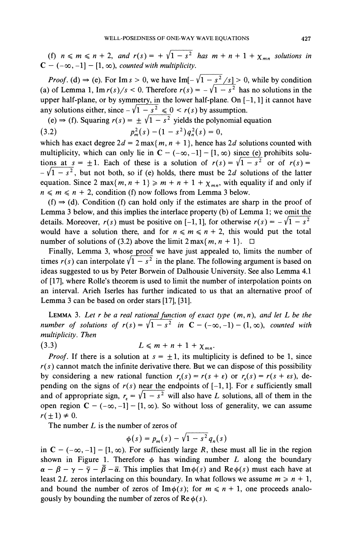(f)  $n \leq m \leq n + 2$ , and  $r(s) = \pm \sqrt{1 - s^2}$  has  $m + n + 1 + \chi_{mn}$  solutions in  $C - (-\infty, -1] - [1, \infty)$ , counted with multiplicity.

*Proof.* (d)  $\Rightarrow$  (e). For Im s > 0, we have Im[- $\sqrt{1-s^2}/s$ ] > 0, while by condition (a) of Lemma 1, Im  $r(s)/s < 0$ . Therefore  $r(s) = -\sqrt{1-s^2}$  has no solutions in the upper half-plane, or by symmetry, in the lower half-plane. On  $[-1, 1]$  it cannot have any solutions either, since  $-\sqrt{1-s^2} \le 0 < r(s)$  by assumption.

(e)  $\Rightarrow$  (f). Squaring  $r(s) = \pm \sqrt{1-s^2}$  yields the polynomial equation (3.2)  $p_m^2(s) - (1 - s^2)q_n^2(s) = 0,$ 

which has exact degree  $2d = 2 \max\{m, n + 1\}$ , hence has  $2d$  solutions counted with multiplicity, which can only lie in  $C - (-\infty, -1] - [1, \infty)$  since (e) prohibits solutions at  $s = \pm 1$ . Each of these is a solution of  $r(s) = \sqrt{1 - s^2}$  or of  $r(s) =$  $-\sqrt{1-s^2}$ , but not both, so if (e) holds, there must be 2d solutions of the latter equation. Since 2 max $\{m, n + 1\} \ge m + n + 1 + \chi_{mn}$ , with equality if and only if  $n \leq m \leq n + 2$ , condition (f) now follows from Lemma 3 below.

 $(f) \Rightarrow (d)$ . Condition (f) can hold only if the estimates are sharp in the proof of Lemma 3 below, and this implies the interlace property (b) of Lemma 1; we omit the details. Moreover,  $r(s)$  must be positive on [-1, 1], for otherwise  $r(s) = -\sqrt{1-s^2}$ would have a solution there, and for  $n \le m \le n + 2$ , this would put the total number of solutions of (3.2) above the limit  $2 \max\{m, n + 1\}$ .  $\Box$ 

Finally, Lemma 3, whose proof we have just appealed to, limits the number of times  $r(s)$  can interpolate  $\sqrt{1-s^2}$  in the plane. The following argument is based on ideas suggested to us by Peter Borwein of Dalhousie University. See also Lemma 4.1 of [17], where Rolle's theorem is used to limit the number of interpolation points on an interval. Arieh Iserles has further indicated to us that an alternative proof of Lemma 3 can be based on order stars [17], [31].

LEMMA 3. Let r be a real rational function of exact type  $(m, n)$ , and let L be the number of solutions of  $r(s) = \sqrt{1-s^2}$  in  $C - (-\infty, -1) - (1, \infty)$ , counted with multiplicity. Then

$$
(3.3) \tL \leqslant m + n + 1 + \chi_{mn}
$$

*Proof.* If there is a solution at  $s = \pm 1$ , its multiplicity is defined to be 1, since  $r(s)$  cannot match the infinite derivative there. But we can dispose of this possibility by considering a new rational function  $r<sub>\epsilon</sub>(s) = r(s + \epsilon)$  or  $r<sub>\epsilon</sub>(s) = r(s + \epsilon s)$ , depending on the signs of  $r(s)$  near the endpoints of  $[-1, 1]$ . For  $\varepsilon$  sufficiently small and of appropriate sign,  $r<sub>s</sub> = \sqrt{1 - s^2}$  will also have L solutions, all of them in the open region  $C - (-\infty, -1] - [1, \infty)$ . So without loss of generality, we can assume  $r(\pm 1) \neq 0$ .

The number  $L$  is the number of zeros of

$$
\phi(s) = p_m(s) - \sqrt{1 - s^2} q_n(s)
$$

in  $C - (-\infty, -1] - [1, \infty)$ . For sufficiently large R, these must all lie in the region shown in Figure 1. Therefore  $\phi$  has winding number L along the boundary  $\alpha - \beta - \gamma - \bar{\gamma} - \bar{\beta} - \bar{\alpha}$ . This implies that Im $\phi(s)$  and Re  $\phi(s)$  must each have at least 2L zeros interlacing on this boundary. In what follows we assume  $m \ge n + 1$ , and bound the number of zeros of  $\text{Im}\phi(s)$ ; for  $m \leq n + 1$ , one proceeds analogously by bounding the number of zeros of  $\text{Re}\,\phi(s)$ .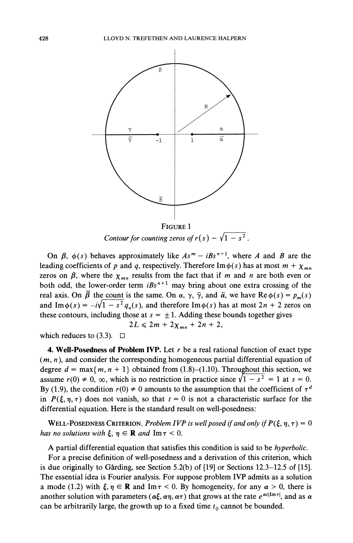

FIGURE 1<br>Contour for counting zeros of  $r(s) - \sqrt{1 - s^2}$ .

On  $\beta$ ,  $\phi(s)$  behaves approximately like  $As^{m}-iBs^{n+1}$ , where A and B are the leading coefficients of p and q, respectively. Therefore Im $\phi(s)$  has at most  $m + \chi_{mn}$ zeros on  $\beta$ , where the  $\chi_{mn}$  results from the fact that if m and n are both even or both odd, the lower-order term  $iBs^{n+1}$  may bring about one extra crossing of the real axis. On  $\overline{\beta}$  the count is the same. On  $\alpha$ ,  $\gamma$ ,  $\overline{\gamma}$ , and  $\overline{\alpha}$ , we have Re $\phi(s) = p_m(s)$ and Im $\phi(s) = -i\sqrt{1-s^2} q_n(s)$ , and therefore Im $\phi(s)$  has at most  $2n + 2$  zeros on these contours, including those at  $s = \pm 1$ . Adding these bounds together gives  $2L \leq 2m + 2\chi_{mn} + 2n + 2,$ 

which reduces to  $(3.3)$ .  $\Box$ 

**4. Well-Posedness of Problem IVP.** Let r be a real rational function of exact type  $(m, n)$ , and consider the corresponding homogeneous partial differential equation of degree  $d = \max\{m, n + 1\}$  obtained from (1.8)-(1.10). Throughout this section, we assume  $r(0) \neq 0$ ,  $\infty$ , which is no restriction in practice since  $\sqrt{1 - s^2} = 1$  at  $s = 0$ . By (1.9), the condition  $r(0) \neq 0$  amounts to the assumption that the coefficient of  $\tau^d$ in  $P(\xi, \eta, \tau)$  does not vanish, so that  $t = 0$  is not a characteristic surface for the differential equation. Here is the standard result on well-posedness:

WELL-POSEDNESS CRITERION. Problem IVP is well posed if and only if  $P(\xi, \eta, \tau) = 0$ has no solutions with  $\xi, \eta \in \mathbf{R}$  and  $\text{Im } \tau < 0$ .

A partial differential equation that satisfies this condition is said to be hyperbolic.

For a precise definition of well-posedness and a derivation of this criterion, which is due originally to Gårding, see Section 5.2(b) of  $[19]$  or Sections 12.3–12.5 of  $[15]$ . The essential idea is Fourier analysis. For suppose problem IVP admits as a solution a mode (1.2) with  $\xi, \eta \in \mathbf{R}$  and Im $\tau < 0$ . By homogeneity, for any  $\alpha > 0$ , there is another solution with parameters ( $\alpha\xi$ ,  $\alpha\eta$ ,  $\alpha\tau$ ) that grows at the rate  $e^{\alpha t|\text{Im}\tau|}$ , and as  $\alpha$ can be arbitrarily large, the growth up to a fixed time  $t_0$  cannot be bounded.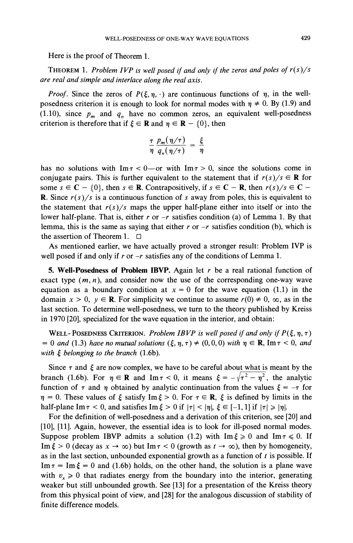Here is the proof of Theorem *1.* 

THEOREM*1. Problem IVP is well posed if and only if the zeros and poles of r(s)/s are real and simple and interlace along the real axis.* 

*Proof.* Since the zeros of  $P(\xi, \eta, \cdot)$  are continuous functions of  $\eta$ , in the wellposedness criterion it is enough to look for normal modes with  $\eta \neq 0$ . By (1.9) and (1.10), since  $p_m$  and  $q_n$  have no common zeros, an equivalent well-posedness criterion is therefore that if  $\xi \in \mathbb{R}$  and  $\eta \in \mathbb{R} - \{0\}$ , then

$$
\frac{\tau}{\eta} \frac{p_m(\eta/\tau)}{q_n(\eta/\tau)} = \frac{\xi}{\eta}
$$

has no solutions with  $\text{Im}\,\tau < 0$ —or with  $\text{Im}\,\tau > 0$ , since the solutions come in conjugate pairs. This is further equivalent to the statement that if  $r(s)/s \in \mathbb{R}$  for some  $s \in \mathbb{C} - \{0\}$ , then  $s \in \mathbb{R}$ . Contrapositively, if  $s \in \mathbb{C} - \mathbb{R}$ , then  $r(s)/s \in \mathbb{C} -$ R. Since *r(s)/s* is a continuous function of *s* away from poles, this is equivalent to the statement that  $r(s)/s$  maps the upper half-plane either into itself or into the lower half-plane. That is, either *r* or *-r* satisfies condition (a) of Lemma *1.* By that lemma, this is the same as saying that either *r* or *-r* satisfies condition (b), which is the assertion of Theorem *1.*   $\Box$ 

As mentioned earlier, we have actually proved a stronger result: Problem IVP is well posed if and only if *r* or *-r* satisfies any of the conditions of Lemma *1.* 

**5. Well-Posedness of Problem IBVP.** Again let *r* be a real rational function of exact type  $(m, n)$ , and consider now the use of the corresponding one-way wave equation as a boundary condition at  $x = 0$  for the wave equation (1.1) in the domain  $x > 0$ ,  $y \in \mathbb{R}$ . For simplicity we continue to assume  $r(0) \neq 0$ ,  $\infty$ , as in the last section. To determine well-posedness, we turn to the theory published by Kreiss in *1970 [20],*specialized for the wave equation in the interior, and obtain:

WELL-POSEDNESS CRITERION. Problem IBVP is well posed if and only if  $P(\xi, \eta, \tau)$  $= 0$  and (1.3) have no mutual solutions  $(\xi, \eta, \tau) \neq (0, 0, 0)$  with  $\eta \in \mathbb{R}$ , Im  $\tau < 0$ , and *with 5 belonging to the branch (1.6b).* 

Since  $\tau$  and  $\xi$  are now complex, we have to be careful about what is meant by the branch (1.6b). For  $\eta \in \mathbb{R}$  and  $\text{Im}\,\tau < 0$ , it means  $\xi = -\sqrt{\tau^2 - \eta^2}$ , the analytic function of  $\tau$  and  $\eta$  obtained by analytic continuation from the values  $\xi = -\tau$  for  $\eta = 0$ . These values of  $\xi$  satisfy Im  $\xi > 0$ . For  $\tau \in \mathbb{R}$ ,  $\xi$  is defined by limits in the half-plane Im  $\tau$  < 0, and satisfies Im  $\xi > 0$  if  $|\tau| < |\eta|$ ,  $\xi \in [-1, 1]$  if  $|\tau| \ge |\eta|$ .

For the definition of well-posedness and a derivation of this criterion, see *[20]*and *[lo],[ll].*Again, however, the essential idea is to look for ill-posed normal modes. Suppose problem IBVP admits a solution (1.2) with  $\text{Im } \xi \geq 0$  and  $\text{Im } \tau \leq 0$ . If Im  $\xi > 0$  (decay as  $x \to \infty$ ) but Im  $\tau < 0$  (growth as  $t \to \infty$ ), then by homogeneity, as in the last section, unbounded exponential growth as a function of *t* is possible. If Im  $\tau = \text{Im} \xi = 0$  and (1.6b) holds, on the other hand, the solution is a plane wave with  $v_r \ge 0$  that radiates energy from the boundary into the interior, generating weaker but still unbounded growth. See [13] for a presentation of the Kreiss theory from this physical point of view, and *[28]*for the analogous discussion of stability of finite difference models.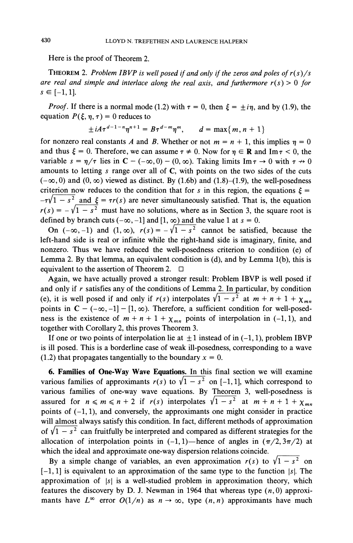Here is the proof of Theorem *2.* 

THEOREM*2. Problem IBVP is well posed if and onIy if the zeros and poles of r(s)/s are real and simple and interlace along the real axis, and furthermore*  $r(s) > 0$  *for*  $s \in [-1, 1].$ 

*Proof.* If there is a normal mode (1.2) with  $\tau = 0$ , then  $\xi = \pm i\eta$ , and by (1.9), the equation  $P(\xi, \eta, \tau) = 0$  reduces to

$$
\pm iA\tau^{d-1-n}\eta^{n+1} = B\tau^{d-m}\eta^m, \qquad d = \max\{m, n+1\}
$$

for nonzero real constants *A* and *B*. Whether or not  $m = n + 1$ , this implies  $\eta = 0$ and thus  $\xi = 0$ . Therefore, we can assume  $\tau \neq 0$ . Now for  $\eta \in \mathbb{R}$  and Im  $\tau < 0$ , the variable  $s = \eta/\tau$  lies in  $C - (-\infty, 0) - (0, \infty)$ . Taking limits Im  $\tau \to 0$  with  $\tau \to 0$ amounts to letting *s* range over all of C, with points on the two sides of the cuts  $(-\infty, 0)$  and  $(0, \infty)$  viewed as distinct. By (1.6b) and (1.8)-(1.9), the well-posedness criterion now reduces to the condition that for *s* in this region, the equations  $\xi =$  $-\tau\sqrt{1-s^2}$  and  $\xi = \tau r(s)$  are never simultaneously satisfied. That is, the equation  $r(s) = -\sqrt{1-s^2}$  must have no solutions, where as in Section 3, the square root is defined by branch cuts  $(-\infty, -1]$  and  $[1, \infty)$  and the value 1 at  $s = 0$ .

On  $(-\infty, -1)$  and  $(1, \infty)$ ,  $r(s) = -\sqrt{1-s^2}$  cannot be satisfied, because the left-hand side is real or infinite while the right-hand side is imaginary, finite, and nonzero. Thus we have reduced the well-posedness criterion to condition (e) of Lemma *2.* By that lemma, an equivalent condition is (d), and by Lemma *l(b),* this is equivalent to the assertion of Theorem *2.* 

Again, we have actually proved a stronger result: Problem IBVP is well posed if and only if *r* satisfies any of the conditions of Lemma *2.* In particular, by condition (e), it is well posed if and only if  $r(s)$  interpolates  $\sqrt{1-s^2}$  at  $m + n + 1 + \chi_{mn}$ points in  $C - (-\infty, -1] - [1, \infty)$ . Therefore, a sufficient condition for well-posedness is the existence of  $m + n + 1 + \chi_{mn}$  points of interpolation in (-1, 1), and together with Corollary 2, this proves Theorem 3.

If one or two points of interpolation lie at  $\pm 1$  instead of in  $(-1, 1)$ , problem IBVP is ill posed. This is a borderline case of weak ill-posedness, corresponding to a wave  $(1.2)$  that propagates tangentially to the boundary  $x = 0$ .

**6. Families of One-Way Wave Equations.** In this final section we will examine various families of approximants  $r(s)$  to  $\sqrt{1-s^2}$  on [-1, 1], which correspond to various families of one-way wave equations. By Theorem 3, well-posedness is assured for  $n \le m \le n + 2$  if  $r(s)$  interpolates  $\sqrt{1-s^2}$  at  $m+n+1+\chi_{mn}$ points of *(-1, I),* and conversely, the approximants one might consider in practice will almost always satisfy this condition. In fact, different methods of approximation of  $\sqrt{1-s^2}$  can fruitfully be interpreted and compared as different strategies for the allocation of interpolation points in  $(-1,1)$ —hence of angles in  $(\pi/2,3\pi/2)$  at which the ideal and approximate one-way dispersion relations coincide.

By a simple change of variables, an even approximation  $r(s)$  to  $\sqrt{1-s^2}$  on *[-I, 11* is equivalent to an approximation of the same type to the function *Is1* The approximation of *Is/* is a well-studied problem in approximation theory, which features the discovery by D. J. Newman in 1964 that whereas type  $(n,0)$  approximants have  $L^{\infty}$  error  $O(1/n)$  as  $n \to \infty$ , type  $(n, n)$  approximants have much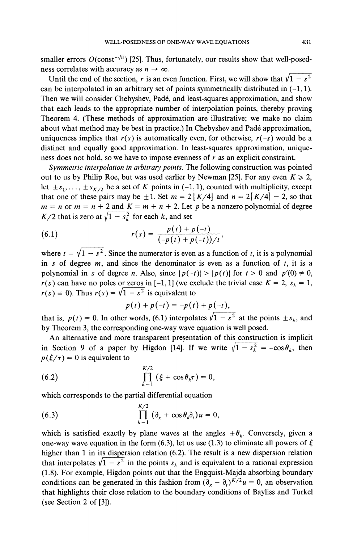smaller errors  $O(\text{const}^{-\sqrt{n}})$  [25]. Thus, fortunately, our results show that well-posedness correlates with accuracy as  $n \to \infty$ .

Until the end of the section, r is an even function. First, we will show that  $\sqrt{1-s^2}$ can be interpolated in an arbitrary set of points symmetrically distributed in  $(-1,1)$ . Then we will consider Chebyshev, Pade, and least-squares approximation, and show that each leads to the appropriate number of interpolation points, thereby proving Theorem 4. (These methods of approximation are illustrative; we make no claim about what method may be best in practice.) In Chebyshev and Pade approximation, uniqueness implies that  $r(s)$  is automatically even, for otherwise,  $r(-s)$  would be a distinct and equally good approximation. In least-squares approximation, uniqueness does not hold, so we have to impose evenness of r as an explicit constraint.

Symmetric interpolation in arbitrary points. The following construction was pointed out to us by Philip Roe, but was used earlier by Newman [25]. For any even  $K \ge 2$ , let  $\pm s_1, \ldots, \pm s_{K/2}$  be a set of K points in (-1, 1), counted with multiplicity, except that one of these pairs may be  $\pm 1$ . Set  $m = 2 |K/4|$  and  $n = 2|K/4|-2$ , so that  $m = n$  or  $m = n + 2$  and  $K = m + n + 2$ . Let p be a nonzero polynomial of degree  $K/2$  that is zero at  $\sqrt{1-s_k^2}$  for each k, and set

(6.1) 
$$
r(s) = \frac{p(t) + p(-t)}{(-p(t) + p(-t))/t},
$$

(6.1)  $r(s) = \frac{p(t) + p(-t)}{(-p(t) + p(-t))/t}$ ,<br>where  $t = \sqrt{1 - s^2}$ . Since the numerator is even as a function of t, it is a polynomial in s of degree  $m$ , and since the denominator is even as a function of  $t$ , it is a polynomial in s of degree n. Also, since  $|p(-t)| > |p(t)|$  for  $t > 0$  and  $p'(0) \neq 0$ ,  $r(s)$  can have no poles or zeros in [-1, 1] (we exclude the trivial case  $K = 2$ ,  $s_k = 1$ ,  $r(s) \equiv 0$ ). Thus  $r(s) = \sqrt{1 - s^2}$  is equivalent to where  $t = \sqrt{1 - s^2}$ . Since the numerator is even<br>in s of degree m, and since the denominator<br>polynomial in s of degree n. Also, since  $|p(-t)|$ <br> $r(s)$  can have no poles or zeros in [-1, 1] (we exercise  $r(s) = 0$ ). Thus  $r(s) = \$ 

$$
p(t) + p(-t) = -p(t) + p(-t),
$$

that is,  $p(t) = 0$ . In other words, (6.1) interpolates  $\sqrt{1 - s^2}$  at the points  $\pm s_k$ , and by Theorem 3, the corresponding one-way wave equation is well posed.

An alternative and more transparent presentation of this construction is implicit in Section 9 of a paper by Higdon [14]. If we write  $\sqrt{1 - s_k^2} = -\cos\theta_k$ , then  $p(\xi/\tau) = 0$  is equivalent to

(6.2) 
$$
\prod_{k=1}^{K/2} (\xi + \cos \theta_k \tau) = 0,
$$

which corresponds to the partial differential equation

(6.3) 
$$
\prod_{k=1}^{K/2} (\partial_x + \cos \theta_k \partial_t) u = 0,
$$

which is satisfied exactly by plane waves at the angles  $\pm \theta_k$ . Conversely, given a one-way wave equation in the form (6.3), let us use (1.3) to eliminate all powers of  $\xi$ higher than 1 in its dispersion relation (6.2). The result is a new dispersion relation that interpolates  $\sqrt{1-s^2}$  in the points  $s_k$  and is equivalent to a rational expression (1.8). For example, Higdon points out that the Engquist-Majda absorbing boundary conditions can be generated in this fashion from  $(\partial_x - \partial_x)^{K/2}u = 0$ , an observation that highlights their close relation to the boundary conditions of Bayliss and Turkel (see Section 2 of [3]).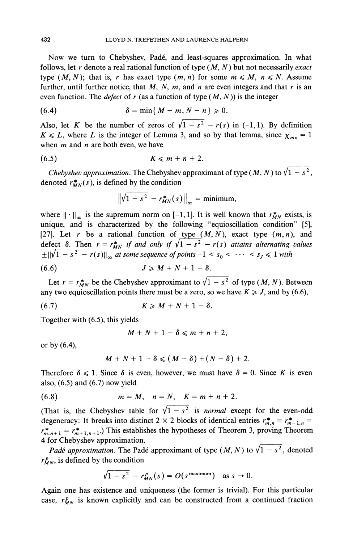Now we turn to Chebyshev, Pade, and least-squares approximation. In what follows, let  $r$  denote a real rational function of type  $(M, N)$  but not necessarily exact type  $(M, N)$ ; that is, r has exact type  $(m, n)$  for some  $m \le M$ ,  $n \le N$ . Assume further, until further notice, that  $M$ ,  $N$ ,  $m$ , and  $n$  are even integers and that  $r$  is an even function. The *defect* of r (as a function of type  $(M, N)$ ) is the integer

$$
\delta = \min\{M-m, N-n\} \geqslant 0
$$

Also, let K be the number of zeros of  $\sqrt{1-s^2} - r(s)$  in (-1,1). By definition  $K \le L$ , where L is the integer of Lemma 3, and so by that lemma, since  $\chi_{mn} = 1$ when  $m$  and  $n$  are both even, we have

$$
(6.5) \t K \leqslant m+n+2.
$$

Chebyshev approximation. The Chebyshev approximant of type (M, N) to  $\sqrt{1-s^2}$ . denoted  $r_{MN}^*(s)$ , is defined by the condition

$$
\left\|\sqrt{1-s^2}-r_{MN}^*(s)\right\|_{\infty}=\text{minimum},
$$

where  $\|\cdot\|_{\infty}$  is the supremum norm on [-1, 1]. It is well known that  $r_{MN}^*$  exists, is unique, and is characterized by the following "equioscillation condition" [5], [27]. Let r be a rational function of type  $(M, N)$ , exact type  $(m, n)$ , and defect  $\delta$ . Then  $r = r_{MN}^*$  if and only if  $\sqrt{1 - s^2} - r(s)$  attains alternating values defect  $\delta$ . Then  $r = r_{MN}^*$  if and only if  $\gamma_1 - s^2 - r(s)$  attains alternating  $\pm ||\sqrt{1 - s^2} - r(s)||_{\infty}$  at some sequence of points  $-1 < s_0 < \cdots < s_j \le 1$  with

 $J \geq M + N + 1 - \delta.$  $(6.6)$ 

Let  $r = r_{MN}^*$  be the Chebyshev approximant to  $\sqrt{1 - s^2}$  of type (*M, N*). Between any two equioscillation points there must be a zero, so we have  $K \geq J$ , and by (6.6),

$$
(6.7) \t\t K \geqslant M + N + 1 - \delta.
$$

Together with (6.5), this yields

$$
M+N+1-\delta\leqslant m+n+2,
$$

or by  $(6.4)$ ,

$$
M+N+1-\delta\leqslant (M-\delta)+(N-\delta)+2.
$$

Therefore  $\delta \le 1$ . Since  $\delta$  is even, however, we must have  $\delta = 0$ . Since K is even also, (6.5) and (6.7) now yield

(6.8) 
$$
m = M, n = N, K = m + n + 2.
$$

(That is, the Chebyshev table for  $\sqrt{1-s^2}$  is *normal* except for the even-odd degeneracy: It breaks into distinct 2  $\times$  2 blocks of identical entries  $r_{m,n}^* = r_{m+1,n}^* =$  $r^*_{m,n+1} = r^*_{m+1,n+1}$ .) This establishes the hypotheses of Theorem 3, proving Theorem 4 for Chebyshev approximation.

*Padé approximation*. The Padé approximant of type  $(M, N)$  to  $\sqrt{1-s^2}$ , denoted  $r_{MN}^p$ , is defined by the condition

$$
\sqrt{1-s^2} - r_{MN}^p(s) = O(s^{\text{maximum}}) \text{ as } s \to 0.
$$

Again one has existence and uniqueness (the former is trivial). For this particular case,  $r_{MN}^p$  is known explicitly and can be constructed from a continued fraction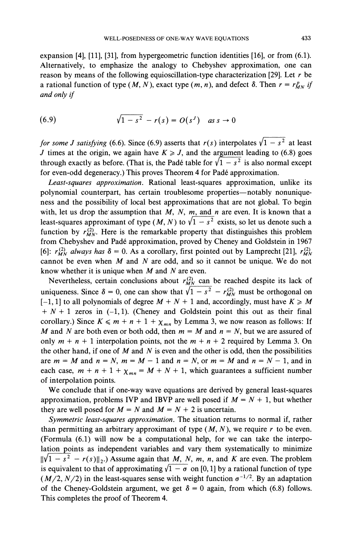expansion [4], [Ill, [31], from hypergeometric function identities [16], or from (6.1). Alternatively, to emphasize the analogy to Chebyshev approximation, one can reason by means of the following equioscillation-type characterization [29]. Let *r* be a rational function of type  $(M, N)$ , exact type  $(m, n)$ , and defect  $\delta$ . Then  $r = r_{M}^p$  if *and only if* 

(6.9) 
$$
\sqrt{1-s^2} - r(s) = O(s^3) \text{ as } s \to 0
$$

*for some J satisfying* (6.6). Since (6.9) asserts that  $r(s)$  interpolates  $\sqrt{1-s^2}$  at least *J* times at the origin, we again have  $K \ge J$ , and the argument leading to (6.8) goes through exactly as before. (That is, the Padé table for  $\sqrt{1-s^2}$  is also normal except for even-odd degeneracy.) This proves Theorem 4 for Pade approximation.

*Least-squares approximation.* Rational least-squares approximation, unlike its polynomial counterpart, has certain troublesome properties—notably nonuniqueness and the possibility of local best approximations that are not global. To begin with, let us drop the assumption that  $M$ ,  $N$ ,  $m$ , and  $n$  are even. It is known that a least-squares approximant of type (M, N) to  $\sqrt{1-s^2}$  exists, so let us denote such a function by  $r_{MN}^{(2)}$ . Here is the remarkable property that distinguishes this problem from Chebyshev and Pade approximation, proved by Cheney and Goldstein in 1967 [6]:  $r_{MN}^{(2)}$  always has  $\delta = 0$ . As a corollary, first pointed out by Lamprecht [21],  $r_{MN}^{(2)}$ cannot be even when  $M$  and  $N$  are odd, and so it cannot be unique. We do not know whether it is unique when  $M$  and  $N$  are even.

Nevertheless, certain conclusions about  $r_{MN}^{(2)}$  can be reached despite its lack of uniqueness. Since  $\delta = 0$ , one can show that  $\sqrt{1 - s^2} - r_{MN}^{(2)}$  must be orthogonal on  $[-1, 1]$  to all polynomials of degree  $M + N + 1$  and, accordingly, must have  $K \ge M$  $+ N + 1$  zeros in (-1,1). (Cheney and Goldstein point this out as their final corollary.) Since  $K \leq m + n + 1 + \chi_{mn}$  by Lemma 3, we now reason as follows: If M and N are both even or both odd, then  $m = M$  and  $n = N$ , but we are assured of only  $m + n + 1$  interpolation points, not the  $m + n + 2$  required by Lemma 3. On the other hand, if one of M and N is even and the other is odd, then the possibilities are  $m = M$  and  $n = N$ ,  $m = M - 1$  and  $n = N$ , or  $m = M$  and  $n = N - 1$ , and in each case,  $m + n + 1 + \chi_{mn} = M + N + 1$ , which guarantees a sufficient number of interpolation points.

We conclude that if one-way wave equations are derived by general least-squares approximation, problems IVP and IBVP are well posed if  $M = N + 1$ , but whether they are well posed for  $M = N$  and  $M = N + 2$  is uncertain.

*Symmetric least-squares approximation.* The situation returns to normal if, rather than permitting an arbitrary approximant of type  $(M, N)$ , we require r to be even. (Formula (6.1) will now be a computational help, for we can take the interpolation points as independent variables and vary them systematically to minimize  $\|\sqrt{1-s^2-r(s)}\|_2$ .) Assume again that *M*, *N*, *m*, *n*, and *K* are even. The problem is equivalent to that of approximating  $\sqrt{1-\sigma}$  on [0, 1] by a rational function of type  $(M/2, N/2)$  in the least-squares sense with weight function  $\sigma^{-1/2}$ . By an adaptation of the Cheney-Goldstein argument, we get  $\delta = 0$  again, from which (6.8) follows. This completes the proof of Theorem 4.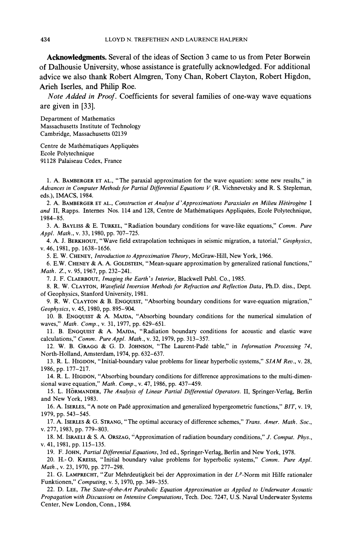Acknowledgments. Several of the ideas of Section 3 came to us from Peter Borwein of Dalhousie University, whose assistance is gratefully acknowledged. For additional advice we also thank Robert Almgren, Tony Chan, Robert Clayton, Robert Higdon, Arieh Iserles, and Philip Roe.

*Note Added* in Proof. Coefficients for several families of one-way wave equations are given in [33].

Department of Mathematics Massachusetts Institute of Technology Cambridge, Massachusetts 02139

Centre de Mathématiques Appliquées Ecole Polytechnique 91128 Palaiseau Cedex, France

1. A. BAMBERGER ET AL., "The paraxial approximation for the wave equation: some new results," in Advances in Computer Methods for Partial Differential Equations V (R. Vichnevetsky and R. S. Stepleman, eds.), IMACS, 1984.

2. A. BAMBERGER ET AL., Construction et Analyse d'Approximations Paraxiales en Milieu Hétérogène I and II, Rapps. Internes Nos. 114 and 128, Centre de Mathématiques Appliquées, Ecole Polytechnique, 1984-85.

3. A. BAYLISS & E. TURKEL, "Radiation boundary conditions for wave-like equations," *Comm. Pure Appl. Math.,* v. 33, 1980, pp. 707-725.

4. A. J. BERKHOUT, "Wave field extrapolation techniques in seismic migration, a tutorial," *Geophysics,*  v. 46,1981, pp. 1638-1656.

5. E. W. CHENEY, *Introduction to Approximation Theory,* McGraw-Hill, New York, 1966.

6. E.W. CHENEY & A. A. GOLDSTEIN, "Mean-square approximation by generalized rational functions," *Math. Z.,*v. 95,1967, pp. 232-241.

7. J. F. CLAERBOUT, *Imaging the Earth's Interior,* Blackwell Publ. Co., 1985.

8. R. W. CLAYTON, *Wavefield Inversion Methods for Refraction and Reflection Data,* Ph.D. diss., Dept. of Geophysics, Stanford University, 1981.

9. R. W. CLAYTON & B. ENGQUIST, "Absorbing boundary conditions for wave-equation migration," Geophysics, v. 45, 1980, pp. 895-904.

10. B. ENGQUIST & A. MAJDA, "Absorbing boundary conditions for the numerical simulation of waves," *Math. Comp.,* v. 31, 1977, pp. 629-651.

11. B. ENGQUIST & A. MAJDA, "Radiation boundary conditions for acoustic and elastic wave calculations," *Comm. Pure Appl. Math.,* v. 32, 1979, pp. 313-357.

12. W. B. GRAGG& G. D. JOHNSON, "The Laurent-Pade table," in *Information Processing* 74, North-Holland, Amsterdam, 1974, pp. 632-637.

13. R. L. HIGDON, "Initial-boundary value problems for linear hyperbolic systems," *SIAM Rev.,* v. 28, 1986, pp. 177-217.

14. R. L. HIGDON, "Absorbing boundary conditions for difference approximations to the multi-dimensional wave equation," *Math. Comp.,* v. 47, 1986, pp. 437-459.

15. L. HORMANDER, *The Analysis of Linear Partial Differential Operators.* 11, Springer-Verlag, Berlin and New York, 1983.

16. A. ISERLES, "A note on Pade approximation and generalized hypergeometric functions," *BIT,* v. 19, 1979, pp. 543-545.

17. A. ISERLES & G. STRANG, "The optimal accuracy of difference schemes," *Trans. Amer. Math. Soc.,*  v. 277,1983, pp. 779-803.

18. M. ISRAELI & S. A. ORSZAG, "Approximation of radiation boundary conditions," *J. Comput. Phys.,*  v. 41,1981, pp. 115-135.

19. F. JOHN, *Partial Differential Equations,* 3rd ed., Springer-Verlag, Berlin and New York, 1978.

20. H.- 0. KREISS, "Initial boundary value problems for hyperbolic systems," *Comm. Pure Appl. Math.,* v. 23, 1970, pp. 277-298.

21. G. LAMPRECHT, "Zur Mehrdeutigkeit bei der Approximation in der  $L^p$ -Norm mit Hilfe rationaler Funktionen," *Computing,*v. 5, 1970, pp. 349-355.

22. D. LEE, *The State-of-the-Art Parabolic Equation Approximation as Applied to Underwater Acoustic Propagation with Discussions on Intensive Computations,* Tech. Doc. 7247, U.S. Naval Underwater Systems Center, New London, Conn., 1984.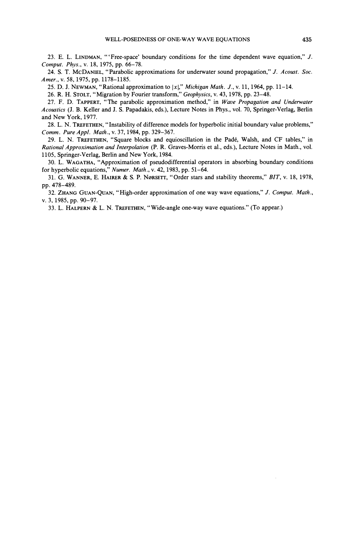23. E. L. LINDMAN, "'Free-space' boundary conditions for the time dependent wave equation," J. *Comput. Phvs.,* v. 18, 1975, pp. 66-78.

24. S. T. MCDANIEL, "Parabolic approximations for underwater sound propagation," J. *Acoust. Soc. Amer.,* v. 58, 1975, pp. 1178-1185.

25. D. J. NEWMAN, "Rational approximation to  $|x|$ ," *Michigan Math. J.*, v. 11, 1964, pp. 11–14.

26. R. H. STOLT, "Migration by Fourier transform," *Geophysics,*v. 43, 1978, pp. 23-48.

27. F. D. TAPPERT, "The parabolic approximation method," in *Wave Propugation and Underwater Acoustics (J.* B. Keller and J. S. Papadakis, eds.), Lecture Notes in Phys., vol. 70, Springer-Verlag, Berlin and New York, 1977.

28. L. N. TREFETHEN, "Instability of difference models for hyperbolic initial boundary value problems," *Comm. Pure Appl. Math.,* v. 37,1984, pp. 329-367.

29. L. N. TREFETHEN, "Square blocks and equioscillation in the Padé, Walsh, and CF tables," in *Rational Approximation and Interpolation* (P. *R.* Graves-Morris et al., eds.), Lecture Notes in Math., vol. 1105, Springer-Verlag, Berlin and New York, 1984.

30. L. WAGATHA, "Approximation of pseudodifferential operators in absorbing boundary conditions for hyperbolic equations," *Numer. Math.,* v. 42, 1983, pp. 51-64.

31. G. WANNER, E. HAIRER& S. P. NBRSETT, "Order stars and stability theorems," *BIT,* v. 18, 1978, pp. 478-489.

32. ZHANG GUAN-QUAN, "High-order approximation of one way wave equations," J. *Comput. Math.,*  v. 3, 1985, pp. 90-97.

33. L. HALPERN & L. N. TREFETHEN, "Wide-angle one-way wave equations." (To appear.)